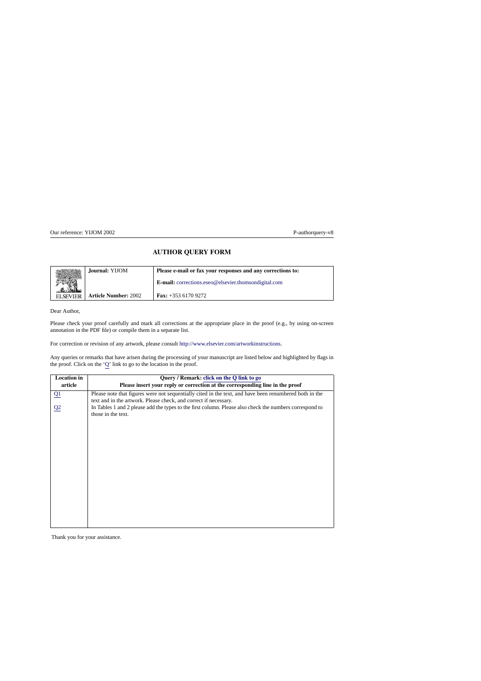## **AUTHOR QUERY FORM**

<span id="page-0-1"></span>

|                  | Journal: YIJOM       | Please e-mail or fax your responses and any corrections to: |
|------------------|----------------------|-------------------------------------------------------------|
|                  |                      | <b>E-mail:</b> corrections.eseo@elsevier.thomsondigital.com |
| <b>FI SEVIER</b> | Article Number: 2002 | <b>Fax:</b> $+35361709272$                                  |

Dear Author,

Please check your proof carefully and mark all corrections at the appropriate place in the proof (e.g., by using on-screen annotation in the PDF file) or compile them in a separate list.

For correction or revision of any artwork, please consult [http://www.elsevier.com/artworkinstructions.](http://www.elsevier.com/artworkinstructions)

Any queries or remarks that have arisen during the processing of your manuscript are listed below and highlighted by flags in the proof. Click on the 'Q' link to go to the location in the proof.

<span id="page-0-0"></span>

| <b>Location</b> in | Query / Remark: click on the Q link to go<br>Please insert your reply or correction at the corresponding line in the proof                                                 |  |  |  |  |
|--------------------|----------------------------------------------------------------------------------------------------------------------------------------------------------------------------|--|--|--|--|
| article            |                                                                                                                                                                            |  |  |  |  |
| Q1                 | Please note that figures were not sequentially cited in the text, and have been renumbered both in the<br>text and in the artwork. Please check, and correct if necessary. |  |  |  |  |
| Q2                 | In Tables 1 and 2 please add the types to the first column. Please also check the numbers correspond to<br>those in the text.                                              |  |  |  |  |
|                    |                                                                                                                                                                            |  |  |  |  |
|                    |                                                                                                                                                                            |  |  |  |  |
|                    |                                                                                                                                                                            |  |  |  |  |
|                    |                                                                                                                                                                            |  |  |  |  |
|                    |                                                                                                                                                                            |  |  |  |  |
|                    |                                                                                                                                                                            |  |  |  |  |
|                    |                                                                                                                                                                            |  |  |  |  |
|                    |                                                                                                                                                                            |  |  |  |  |

Thank you for your assistance.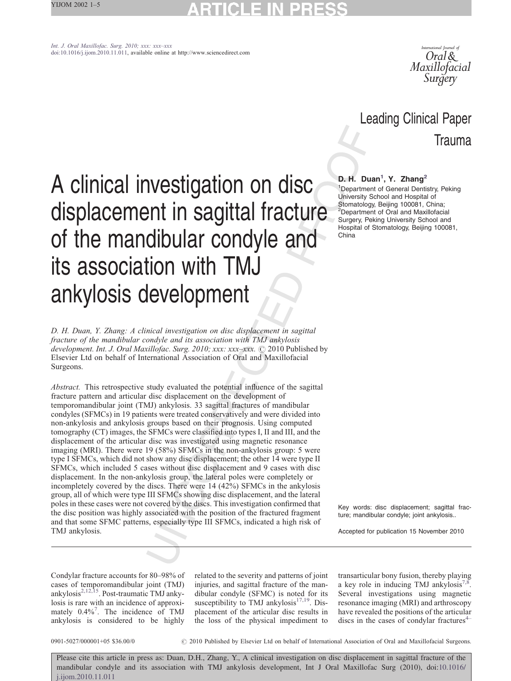[Int. J. Oral Maxillofac. Surg. 2010; xxx: xxx–xxx](http://dx.doi.org/10.1016/j.ijom.2010.11.011) [doi:10.1016/j.ijom.2010.11.011](http://dx.doi.org/10.1016/j.ijom.2010.11.011), available online at http://www.sciencedirect.com



# Leading Clinical Paper **Trauma**

A clinical investigation on disc displacement in sagittal fracture of the mandibular condyle and its association with TMJ ankylosis development

D. H. Duan, Y. Zhang: A clinical investigation on disc displacement in sagittal fracture of the mandibular condyle and its association with TMJ ankylosis development. Int. J. Oral Maxillofac. Surg. 2010; xxx: xxx–xxx.  $\odot$  2010 Published by Elsevier Ltd on behalf of International Association of Oral and Maxillofacial Surgeons.

Abstract. This retrospective study evaluated the potential influence of the sagittal fracture pattern and articular disc displacement on the development of temporomandibular joint (TMJ) ankylosis. 33 sagittal fractures of mandibular condyles (SFMCs) in 19 patients were treated conservatively and were divided into non-ankylosis and ankylosis groups based on their prognosis. Using computed tomography (CT) images, the SFMCs were classified into types I, II and III, and the displacement of the articular disc was investigated using magnetic resonance imaging (MRI). There were 19 (58%) SFMCs in the non-ankylosis group: 5 were type I SFMCs, which did not show any disc displacement; the other 14 were type II SFMCs, which included 5 cases without disc displacement and 9 cases with disc displacement. In the non-ankylosis group, the lateral poles were completely or incompletely covered by the discs. There were 14 (42%) SFMCs in the ankylosis group, all of which were type III SFMCs showing disc displacement, and the lateral poles in these cases were not covered by the discs. This investigation confirmed that the disc position was highly associated with the position of the fractured fragment and that some SFMC patterns, especially type III SFMCs, indicated a high risk of TMJ ankylosis.

### D. H. Duan<sup>1</sup>, Y. Zhang<sup>2</sup>

1 Department of General Dentistry, Peking University School and Hospital of Stomatology, Beijing 100081, China: 2 Department of Oral and Maxillofacial Surgery, Peking University School and Hospital of Stomatology, Beijing 100081, China

Key words: disc displacement; sagittal fracture; mandibular condyle; joint ankylosis..

Accepted for publication 15 November 2010

Condylar fracture accounts for 80–98% of cases of temporomandibular joint (TMJ) ankylosis<sup>2,12,15</sup>. Post-traumatic TMJ ankylosis is rare with an incidence of approxi-mately 0.4%<sup>[7](#page-5-0)</sup>. The incidence of TMJ ankylosis is considered to be highly

related to the severity and patterns of joint injuries, and sagittal fracture of the mandibular condyle (SFMC) is noted for its susceptibility to TMJ ankylosis $17,19$ . Displacement of the articular disc results in the loss of the physical impediment to

transarticular bony fusion, thereby playing a key role in inducing TMJ ankylosis $7.8$ . Several investigations using magnetic resonance imaging (MRI) and arthroscopy have revealed the positions of the articular discs in the cases of condylar fractures $4$ 

0901-5027/000001+05 \$36.00/0  $\odot$  2010 Published by Elsevier Ltd on behalf of International Association of Oral and Maxillofacial Surgeons.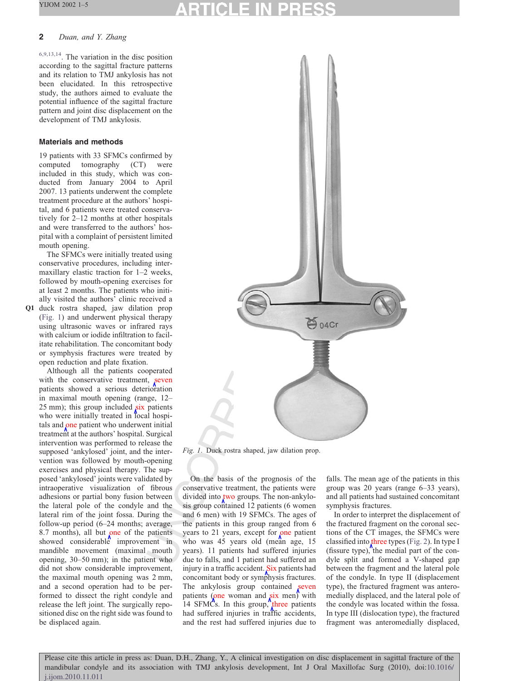### 2 Duan, and Y. Zhang

[6,9,13,14.](#page-4-1) The variation in the disc position according to the sagittal fracture patterns and its relation to TMJ ankylosis has not been elucidated. In this retrospective study, the authors aimed to evaluate the potential influence of the sagittal fracture pattern and joint disc displacement on the development of TMJ ankylosis.

### Materials and methods

19 patients with 33 SFMCs confirmed by computed tomography (CT) were included in this study, which was conducted from January 2004 to April 2007. 13 patients underwent the complete treatment procedure at the authors' hospital, and 6 patients were treated conservatively for 2–12 months at other hospitals and were transferred to the authors' hospital with a complaint of persistent limited mouth opening.

The SFMCs were initially treated using conservative procedures, including intermaxillary elastic traction for 1–2 weeks, followed by mouth-opening exercises for at least 2 months. The patients who initially visited the authors' clinic received a

<span id="page-2-0"></span>[Q1](#page-0-0) duck rostra shaped, jaw dilation prop (Fig. 1) and underwent physical therapy using ultrasonic waves or infrared rays with calcium or iodide infiltration to facilitate rehabilitation. The concomitant body or symphysis fractures were treated by open reduction and plate fixation.

Although all the patients cooperated with the conservative treatment, seven patients showed a serious deterioration in maximal mouth opening (range, 12–  $25$  mm); this group included  $\sin$  patients who were initially treated in local hospitals and one patient who underwent initial treatment at the authors' hospital. Surgical intervention was performed to release the supposed 'ankylosed' joint, and the intervention was followed by mouth-opening exercises and physical therapy. The supposed 'ankylosed' joints were validated by intraoperative visualization of fibrous adhesions or partial bony fusion between the lateral pole of the condyle and the lateral rim of the joint fossa. During the follow-up period (6–24 months; average, 8.7 months), all but one of the patients showed considerable improvement in mandible movement (maximal mouth opening, 30–50 mm); in the patient who did not show considerable improvement, the maximal mouth opening was 2 mm, and a second operation had to be performed to dissect the right condyle and release the left joint. The surgically repositioned disc on the right side was found to be displaced again.



Fig. 1. Duck rostra shaped, jaw dilation prop.

On the basis of the prognosis of the conservative treatment, the patients were divided into two groups. The non-ankylosis group contained 12 patients (6 women and 6 men) with 19 SFMCs. The ages of the patients in this group ranged from 6 years to 21 years, except for **one** patient who was 45 years old (mean age, 15 years). 11 patients had suffered injuries due to falls, and 1 patient had suffered an injury in a traffic accident. Six patients had concomitant body or symphysis fractures. The ankylosis group contained seven patients (one woman and  $\sin$  men) with 14 SFMCs. In this group, three patients had suffered injuries in traffic accidents, and the rest had suffered injuries due to falls. The mean age of the patients in this group was 20 years (range 6–33 years), and all patients had sustained concomitant symphysis fractures.

In order to interpret the displacement of the fractured fragment on the coronal sections of the CT images, the SFMCs were classified into three types [\(Fig. 2](#page-3-0)). In type I (fissure type), the medial part of the condyle split and formed a V-shaped gap between the fragment and the lateral pole of the condyle. In type II (displacement type), the fractured fragment was anteromedially displaced, and the lateral pole of the condyle was located within the fossa. In type III (dislocation type), the fractured fragment was anteromedially displaced,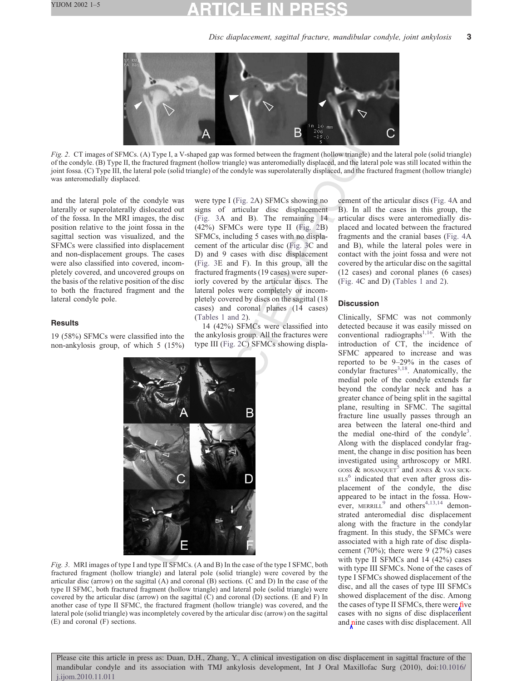Disc diaplacement, sagittal fracture, mandibular condyle, joint ankylosis 3

<span id="page-3-0"></span>

Fig. 2. CT images of SFMCs. (A) Type I, a V-shaped gap was formed between the fragment (hollow triangle) and the lateral pole (solid triangle) of the condyle. (B) Type II, the fractured fragment (hollow triangle) was anteromedially displaced, and the lateral pole was still located within the joint fossa. (C) Type III, the lateral pole (solid triangle) of the condyle was superolaterally displaced, and the fractured fragment (hollow triangle) was anteromedially displaced.

and the lateral pole of the condyle was laterally or superolaterally dislocated out of the fossa. In the MRI images, the disc position relative to the joint fossa in the sagittal section was visualized, and the SFMCs were classified into displacement and non-displacement groups. The cases were also classified into covered, incompletely covered, and uncovered groups on the basis of the relative position of the disc to both the fractured fragment and the lateral condyle pole.

### **Results**

19 (58%) SFMCs were classified into the non-ankylosis group, of which 5 (15%)

were type I (Fig. 2A) SFMCs showing no signs of articular disc displacement (Fig. 3A and B). The remaining 14 (42%) SFMCs were type II (Fig. 2B) SFMCs, including 5 cases with no displacement of the articular disc (Fig. 3C and D) and 9 cases with disc displacement (Fig. 3E and F). In this group, all the fractured fragments (19 cases) were superiorly covered by the articular discs. The lateral poles were completely or incompletely covered by discs on the sagittal (18 cases) and coronal planes (14 cases) ([Tables 1 and 2](#page-4-1)).

14 (42%) SFMCs were classified into the ankylosis group. All the fractures were type III (Fig. 2C) SFMCs showing displa-



Fig. 3. MRI images of type I and type II SFMCs. (A and B) In the case of the type I SFMC, both fractured fragment (hollow triangle) and lateral pole (solid triangle) were covered by the articular disc (arrow) on the sagittal (A) and coronal (B) sections. (C and D) In the case of the type II SFMC, both fractured fragment (hollow triangle) and lateral pole (solid triangle) were covered by the articular disc (arrow) on the sagittal (C) and coronal (D) sections. (E and F) In another case of type II SFMC, the fractured fragment (hollow triangle) was covered, and the lateral pole (solid triangle) was incompletely covered by the articular disc (arrow) on the sagittal (E) and coronal (F) sections.

cement of the articular discs [\(Fig. 4](#page-4-1)A and B). In all the cases in this group, the articular discs were anteromedially displaced and located between the fractured fragments and the cranial bases ([Fig. 4](#page-4-1)A and B), while the lateral poles were in contact with the joint fossa and were not covered by the articular disc on the sagittal (12 cases) and coronal planes (6 cases) [\(Fig. 4C](#page-4-1) and D) [\(Tables 1 and 2](#page-4-1)).

### **Discussion**

Clinically, SFMC was not commonly detected because it was easily missed on conventional radiographs<sup>1,16</sup>. With the introduction of CT, the incidence of SFMC appeared to increase and was reported to be 9–29% in the cases of condylar fractures<sup>[3,18](#page-4-1)</sup>. Anatomically, the medial pole of the condyle extends far beyond the condylar neck and has a greater chance of being split in the sagittal plane, resulting in SFMC. The sagittal fracture line usually passes through an area between the lateral one-third and the medial one-third of the condyle<sup>[3](#page-4-1)</sup>. Along with the displaced condylar fragment, the change in disc position has been investigated using arthroscopy or MRI. GOSS  $\&$  BOSANQUET<sup>[5](#page-4-1)</sup> and JONES  $\&$  VAN SICK-ELS<sup>[6](#page-4-1)</sup> indicated that even after gross displacement of the condyle, the disc appeared to be intact in the fossa. How-ever, MERRILL<sup>[9](#page-5-0)</sup> and others<sup>[4,13,14](#page-4-1)</sup> demonstrated anteromedial disc displacement along with the fracture in the condylar fragment. In this study, the SFMCs were associated with a high rate of disc displacement  $(70\%)$ ; there were 9  $(27\%)$  cases with type II SFMCs and 14 (42%) cases with type III SFMCs. None of the cases of type I SFMCs showed displacement of the disc, and all the cases of type III SFMCs showed displacement of the disc. Among the cases of type II SFMCs, there were five cases with no signs of disc displacement and nine cases with disc displacement. All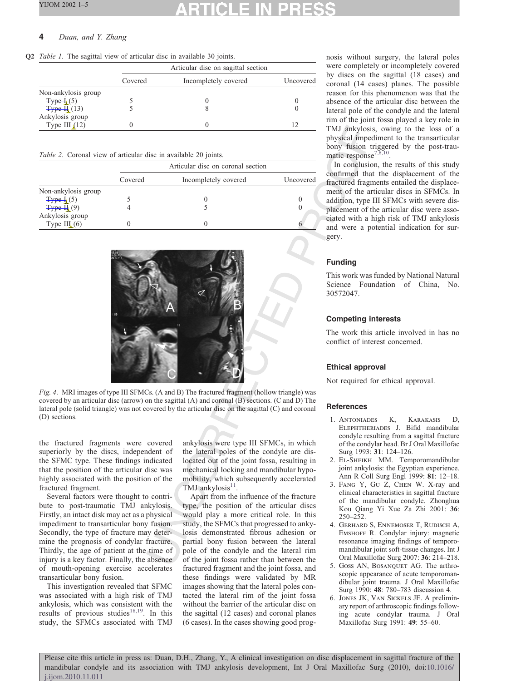### <span id="page-4-1"></span>4 Duan, and Y. Zhang

### [Q2](#page-0-1) Table 1. The sagittal view of articular disc in available 30 joints.

|                     | Articular disc on sagittal section |                      |           |  |
|---------------------|------------------------------------|----------------------|-----------|--|
|                     | Covered                            | Incompletely covered | Uncovered |  |
| Non-ankylosis group |                                    |                      |           |  |
| $Type-Ii(5)$        |                                    |                      |           |  |
| Type H (13)         |                                    |                      |           |  |
| Ankylosis group     |                                    |                      |           |  |
| Type III(12)        |                                    |                      |           |  |

### Table 2. Coronal view of articular disc in available 20 joints.

|                     | Articular disc on coronal section |                      |           |  |
|---------------------|-----------------------------------|----------------------|-----------|--|
|                     | Covered                           | Incompletely covered | Uncovered |  |
| Non-ankylosis group |                                   |                      |           |  |
| Type I (5)          |                                   |                      |           |  |
| Type H(9)           |                                   |                      | O         |  |
| Ankylosis group     |                                   |                      |           |  |
| Type III (6)        |                                   |                      |           |  |



<span id="page-4-0"></span>Fig. 4. MRI images of type III SFMCs. (A and B) The fractured fragment (hollow triangle) was covered by an articular disc (arrow) on the sagittal (A) and coronal (B) sections. (C and D) The lateral pole (solid triangle) was not covered by the articular disc on the sagittal (C) and coronal (D) sections.

the fractured fragments were covered superiorly by the discs, independent of the SFMC type. These findings indicated that the position of the articular disc was highly associated with the position of the fractured fragment.

Several factors were thought to contribute to post-traumatic TMJ ankylosis. Firstly, an intact disk may act as a physical impediment to transarticular bony fusion. Secondly, the type of fracture may determine the prognosis of condylar fracture. Thirdly, the age of patient at the time of injury is a key factor. Finally, the absence of mouth-opening exercise accelerates transarticular bony fusion.

This investigation revealed that SFMC was associated with a high risk of TMJ ankylosis, which was consistent with the results of previous studies<sup>18,19</sup>. In this study, the SFMCs associated with TMJ

ankylosis were type III SFMCs, in which the lateral poles of the condyle are dislocated out of the joint fossa, resulting in mechanical locking and mandibular hypomobility, which subsequently accelerated TMJ ankylosis $11$ .

Apart from the influence of the fracture type, the position of the articular discs would play a more critical role. In this study, the SFMCs that progressed to ankylosis demonstrated fibrous adhesion or partial bony fusion between the lateral pole of the condyle and the lateral rim of the joint fossa rather than between the fractured fragment and the joint fossa, and these findings were validated by MR images showing that the lateral poles contacted the lateral rim of the joint fossa without the barrier of the articular disc on the sagittal (12 cases) and coronal planes (6 cases). In the cases showing good prognosis without surgery, the lateral poles were completely or incompletely covered by discs on the sagittal (18 cases) and coronal (14 cases) planes. The possible reason for this phenomenon was that the absence of the articular disc between the lateral pole of the condyle and the lateral rim of the joint fossa played a key role in TMJ ankylosis, owing to the loss of a physical impediment to the transarticular bony fusion triggered by the post-traumatic response<sup>7,8,10</sup>.

In conclusion, the results of this study confirmed that the displacement of the fractured fragments entailed the displacement of the articular discs in SFMCs. In addition, type III SFMCs with severe displacement of the articular disc were associated with a high risk of TMJ ankylosis and were a potential indication for surgery.

### Funding

This work was funded by National Natural Science Foundation of China, No. 30572047.

### Competing interests

The work this article involved in has no conflict of interest concerned.

### Ethical approval

Not required for ethical approval.

### **References**

- 1. Antoniades K, Karakasis D, Elephtheriades J. Bifid mandibular condyle resulting from a sagittal fracture of the condylar head. Br J Oral Maxillofac Surg 1993: 31: 124–126.
- 2. El-Sheikh MM. Temporomandibular joint ankylosis: the Egyptian experience. Ann R Coll Surg Engl 1999: 81: 12–18.
- 3. Fang Y, Gu Z, Chen W. X-ray and clinical characteristics in sagittal fracture of the mandibular condyle. Zhonghua Kou Qiang Yi Xue Za Zhi 2001: 36: 250–252.
- 4. Gerhard S, Ennemoser T, Rudisch A, EMSHOFF R. Condylar injury: magnetic resonance imaging findings of temporomandibular joint soft-tissue changes. Int J Oral Maxillofac Surg 2007: 36: 214–218.
- 5. Goss AN, Bosanquet AG. The arthroscopic appearance of acute temporomandibular joint trauma. J Oral Maxillofac Surg 1990: 48: 780–783 discussion 4.
- 6. Jones JK, Van Sickels JE. A preliminary report of arthroscopic findings following acute condylar trauma. J Oral Maxillofac Surg 1991: 49: 55–60.